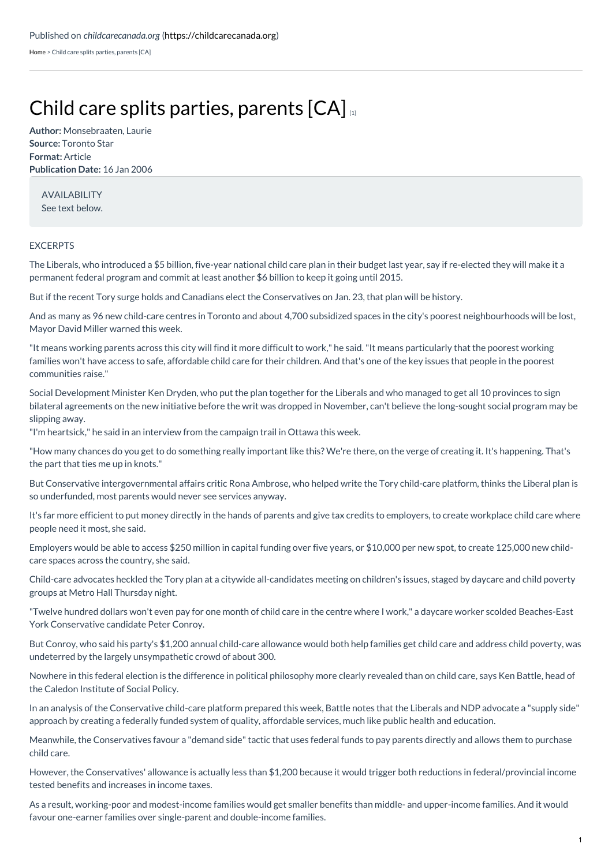[Home](https://childcarecanada.org/) > Child care splits parties, parents [CA]

## Child care splits parties, [parents](https://childcarecanada.org/documents/child-care-news/06/01/child-care-splits-parties-parents-ca)  $[CA]_{11}$

**Author:** Monsebraaten, Laurie **Source:** Toronto Star **Format:** Article **Publication Date:** 16 Jan 2006

AVAILABILITY See text below.

## EXCERPTS

The Liberals, who introduced a \$5 billion, five-year national child care plan in their budget last year, say if re-elected they will make it a permanent federal program and commit at least another \$6 billion to keep it going until 2015.

But if the recent Tory surge holds and Canadians elect the Conservatives on Jan. 23, that plan will be history.

And as many as 96 new child-care centres in Toronto and about 4,700 subsidized spaces in the city's poorest neighbourhoods will be lost, Mayor David Miller warned this week.

"It means working parents across this city will find it more difficult to work," he said."It means particularly that the poorest working families won't have access to safe, affordable child care for their children. And that's one of the key issues that people in the poorest communities raise."

Social Development Minister Ken Dryden, who put the plan together for the Liberals and who managed to get all 10 provinces to sign bilateral agreements on the new initiative before the writ was dropped in November, can't believe the long-sought social program may be slipping away.

"I'm heartsick," he said in an interview from the campaign trail in Ottawa this week.

"How many chances do you get to do something really important like this? We're there, on the verge of creating it. It's happening. That's the part that ties me up in knots."

But Conservative intergovernmental affairs critic Rona Ambrose, who helped write the Tory child-care platform, thinks the Liberal plan is so underfunded, most parents would never see services anyway.

It's far more efficient to put money directly in the hands of parents and give tax credits to employers, to create workplace child care where people need it most, she said.

Employers would be able to access \$250 million in capital funding over five years, or \$10,000 per new spot, to create 125,000 new childcare spaces across the country, she said.

Child-care advocates heckled the Tory plan at a citywide all-candidates meeting on children's issues, staged by daycare and child poverty groups at Metro Hall Thursday night.

"Twelve hundred dollars won't even pay for one month of child care in the centre where I work," a daycare worker scolded Beaches-East York Conservative candidate Peter Conroy.

But Conroy, who said his party's \$1,200 annual child-care allowance would both help families get child care and address child poverty, was undeterred by the largely unsympathetic crowd of about 300.

Nowhere in this federal election is the difference in political philosophy more clearly revealed than on child care, says Ken Battle, head of the Caledon Institute of Social Policy.

In an analysis of the Conservative child-care platform prepared this week, Battle notes that the Liberals and NDP advocate a "supply side" approach by creating a federally funded system of quality, affordable services, much like public health and education.

Meanwhile, the Conservatives favour a "demand side" tactic that uses federal funds to pay parents directly and allows them to purchase child care.

However, the Conservatives' allowance is actually less than \$1,200 because it would trigger both reductions in federal/provincial income tested benefits and increases in income taxes.

As a result, working-poor and modest-income families would get smaller benefits than middle- and upper-income families. And it would favour one-earner families over single-parent and double-income families.